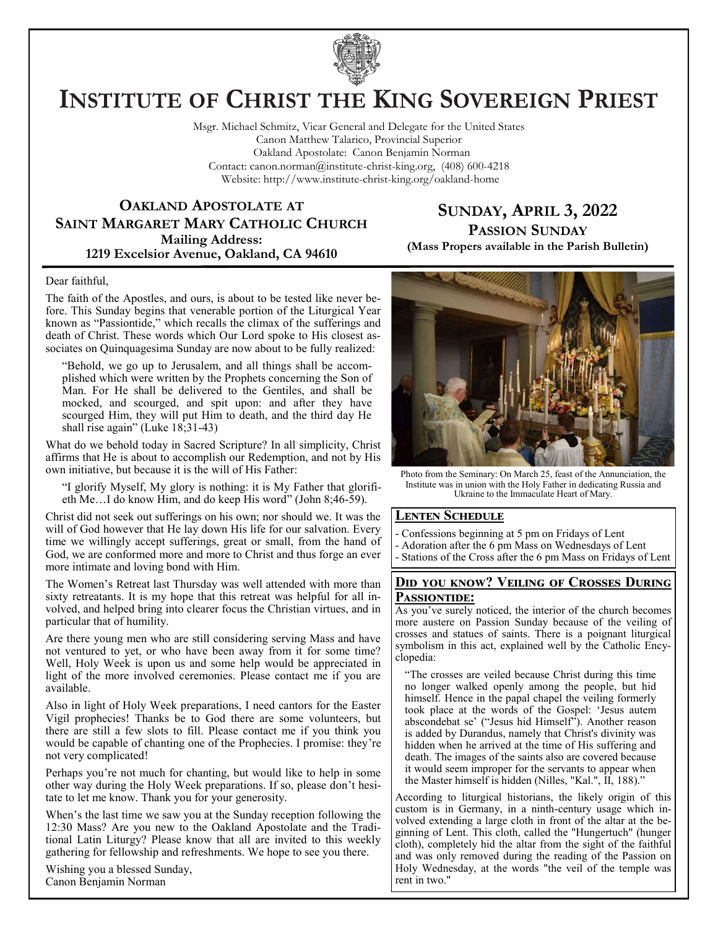

# **INSTITUTE OF CHRIST THE KING SOVEREIGN PRIEST**

Msgr. Michael Schmitz, Vicar General and Delegate for the United States Canon Matthew Talarico, Provincial Superior Oakland Apostolate: Canon Benjamin Norman Contact: canon.norman@institute-christ-king.org, (408) 600-4218 Website: http://www.institute-christ-king.org/oakland-home

### **OAKLAND APOSTOLATE AT SAINT MARGARET MARY CATHOLIC CHURCH Mailing Address: 1219 Excelsior Avenue, Oakland, CA 94610**

### **SUNDAY, APRIL 3, 2022 PASSION SUNDAY**

**(Mass Propers available in the Parish Bulletin)**

#### Dear faithful,

The faith of the Apostles, and ours, is about to be tested like never before. This Sunday begins that venerable portion of the Liturgical Year known as "Passiontide," which recalls the climax of the sufferings and death of Christ. These words which Our Lord spoke to His closest associates on Quinquagesima Sunday are now about to be fully realized:

"Behold, we go up to Jerusalem, and all things shall be accomplished which were written by the Prophets concerning the Son of Man. For He shall be delivered to the Gentiles, and shall be mocked, and scourged, and spit upon: and after they have scourged Him, they will put Him to death, and the third day He shall rise again" (Luke 18;31-43)

What do we behold today in Sacred Scripture? In all simplicity, Christ affirms that He is about to accomplish our Redemption, and not by His own initiative, but because it is the will of His Father:

"I glorify Myself, My glory is nothing: it is My Father that glorifieth Me…I do know Him, and do keep His word" (John 8;46-59).

Christ did not seek out sufferings on his own; nor should we. It was the will of God however that He lay down His life for our salvation. Every time we willingly accept sufferings, great or small, from the hand of God, we are conformed more and more to Christ and thus forge an ever more intimate and loving bond with Him.

The Women's Retreat last Thursday was well attended with more than sixty retreatants. It is my hope that this retreat was helpful for all involved, and helped bring into clearer focus the Christian virtues, and in particular that of humility.

Are there young men who are still considering serving Mass and have not ventured to yet, or who have been away from it for some time? Well, Holy Week is upon us and some help would be appreciated in light of the more involved ceremonies. Please contact me if you are available.

Also in light of Holy Week preparations, I need cantors for the Easter Vigil prophecies! Thanks be to God there are some volunteers, but there are still a few slots to fill. Please contact me if you think you would be capable of chanting one of the Prophecies. I promise: they're not very complicated!

Perhaps you're not much for chanting, but would like to help in some other way during the Holy Week preparations. If so, please don't hesitate to let me know. Thank you for your generosity.

When's the last time we saw you at the Sunday reception following the 12:30 Mass? Are you new to the Oakland Apostolate and the Traditional Latin Liturgy? Please know that all are invited to this weekly gathering for fellowship and refreshments. We hope to see you there.

Wishing you a blessed Sunday, Canon Benjamin Norman



Photo from the Seminary: On March 25, feast of the Annunciation, the Institute was in union with the Holy Father in dedicating Russia and Ukraine to the Immaculate Heart of Mary.

### **Lenten Schedule**

- Confessions beginning at 5 pm on Fridays of Lent
- Adoration after the 6 pm Mass on Wednesdays of Lent
- Stations of the Cross after the 6 pm Mass on Fridays of Lent

### **Did you know? Veiling of Crosses During**  PASSIONTIDE:

As you've surely noticed, the interior of the church becomes more austere on Passion Sunday because of the veiling of crosses and statues of saints. There is a poignant liturgical symbolism in this act, explained well by the Catholic Encyclopedia:

"The crosses are veiled because Christ during this time no longer walked openly among the people, but hid himself. Hence in the papal chapel the veiling formerly took place at the words of the Gospel: 'Jesus autem abscondebat se' ("Jesus hid Himself"). Another reason is added by Durandus, namely that Christ's divinity was hidden when he arrived at the time of His suffering and death. The images of the saints also are covered because it would seem improper for the servants to appear when the Master himself is hidden (Nilles, "Kal.", II, 188)."

According to liturgical historians, the likely origin of this custom is in Germany, in a ninth-century usage which involved extending a large cloth in front of the altar at the beginning of Lent. This cloth, called the "Hungertuch" (hunger cloth), completely hid the altar from the sight of the faithful and was only removed during the reading of the Passion on Holy Wednesday, at the words "the veil of the temple was rent in two."